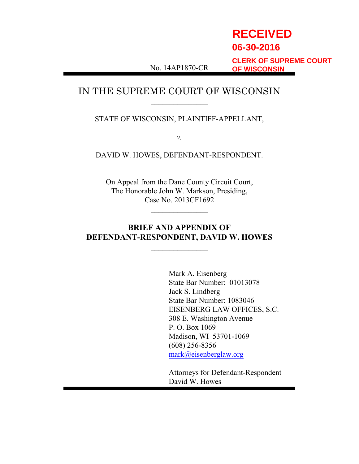# **RECEIVED 06-30-2016**

No. 14AP1870-CR

**CLERK OF SUPREME COURT OF WISCONSIN**

## IN THE SUPREME COURT OF WISCONSIN  $\overline{\phantom{a}}$  , where  $\overline{\phantom{a}}$

STATE OF WISCONSIN, PLAINTIFF-APPELLANT,

*v.*

DAVID W. HOWES, DEFENDANT-RESPONDENT.  $\overline{\phantom{a}}$  , where  $\overline{\phantom{a}}$ 

On Appeal from the Dane County Circuit Court, The Honorable John W. Markson, Presiding, Case No. 2013CF1692

 $\overline{\phantom{a}}$  , where  $\overline{\phantom{a}}$ 

## **BRIEF AND APPENDIX OF DEFENDANT-RESPONDENT, DAVID W. HOWES**

 $\overline{\phantom{a}}$  , where  $\overline{\phantom{a}}$ 

Mark A. Eisenberg State Bar Number: 01013078 Jack S. Lindberg State Bar Number: 1083046 EISENBERG LAW OFFICES, S.C. 308 E. Washington Avenue P. O. Box 1069 Madison, WI 53701-1069 (608) 256-8356 [mark@eisenberglaw.org](mailto:mark@eisenberglaw.org)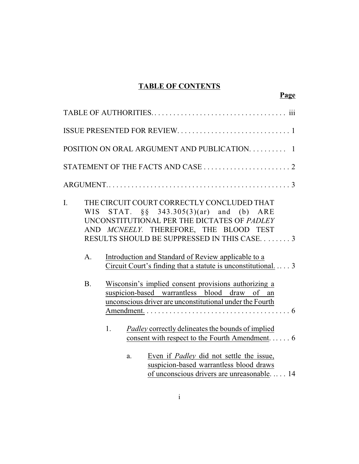## **TABLE OF CONTENTS**

**Page**

|                 |                                                                                                                                                                                                                                                                          | POSITION ON ORAL ARGUMENT AND PUBLICATION.<br>$\overline{1}$                                                                                                               |  |  |  |
|-----------------|--------------------------------------------------------------------------------------------------------------------------------------------------------------------------------------------------------------------------------------------------------------------------|----------------------------------------------------------------------------------------------------------------------------------------------------------------------------|--|--|--|
|                 |                                                                                                                                                                                                                                                                          |                                                                                                                                                                            |  |  |  |
|                 |                                                                                                                                                                                                                                                                          |                                                                                                                                                                            |  |  |  |
| I.<br>AND<br>A. |                                                                                                                                                                                                                                                                          | THE CIRCUIT COURT CORRECTLY CONCLUDED THAT<br>WIS STAT. §§ 343.305(3)(ar) and (b) ARE<br>UNCONSTITUTIONAL PER THE DICTATES OF PADLEY<br>MCNEELY. THEREFORE, THE BLOOD TEST |  |  |  |
| <b>B.</b>       | Wisconsin's implied consent provisions authorizing a<br>suspicion-based warrantless blood draw of an<br>unconscious driver are unconstitutional under the Fourth                                                                                                         |                                                                                                                                                                            |  |  |  |
|                 | 1.<br>a.                                                                                                                                                                                                                                                                 | Even if <i>Padley</i> did not settle the issue,<br>suspicion-based warrantless blood draws<br>of unconscious drivers are unreasonable 14                                   |  |  |  |
|                 | RESULTS SHOULD BE SUPPRESSED IN THIS CASE3<br>Introduction and Standard of Review applicable to a<br>Circuit Court's finding that a statute is unconstitutional 3<br>Padley correctly delineates the bounds of implied<br>consent with respect to the Fourth Amendment 6 |                                                                                                                                                                            |  |  |  |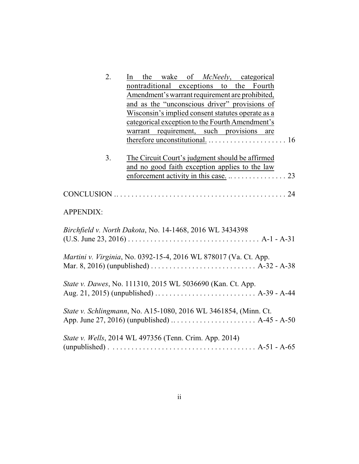| 2.                                                                                               | the wake of McNeely, categorical<br>In                                                                                                                      |  |  |  |  |  |  |  |
|--------------------------------------------------------------------------------------------------|-------------------------------------------------------------------------------------------------------------------------------------------------------------|--|--|--|--|--|--|--|
|                                                                                                  | nontraditional exceptions to the Fourth                                                                                                                     |  |  |  |  |  |  |  |
| Amendment's warrant requirement are prohibited,<br>and as the "unconscious driver" provisions of |                                                                                                                                                             |  |  |  |  |  |  |  |
|                                                                                                  |                                                                                                                                                             |  |  |  |  |  |  |  |
|                                                                                                  | categorical exception to the Fourth Amendment's                                                                                                             |  |  |  |  |  |  |  |
|                                                                                                  | warrant requirement, such provisions are                                                                                                                    |  |  |  |  |  |  |  |
|                                                                                                  |                                                                                                                                                             |  |  |  |  |  |  |  |
|                                                                                                  |                                                                                                                                                             |  |  |  |  |  |  |  |
| 3.                                                                                               | The Circuit Court's judgment should be affirmed                                                                                                             |  |  |  |  |  |  |  |
|                                                                                                  | and no good faith exception applies to the law                                                                                                              |  |  |  |  |  |  |  |
|                                                                                                  | enforcement activity in this case. $\dots \dots \dots \dots \dots$ 23                                                                                       |  |  |  |  |  |  |  |
|                                                                                                  |                                                                                                                                                             |  |  |  |  |  |  |  |
| <b>APPENDIX:</b>                                                                                 |                                                                                                                                                             |  |  |  |  |  |  |  |
|                                                                                                  | Birchfield v. North Dakota, No. 14-1468, 2016 WL 3434398                                                                                                    |  |  |  |  |  |  |  |
|                                                                                                  |                                                                                                                                                             |  |  |  |  |  |  |  |
|                                                                                                  | Martini v. Virginia, No. 0392-15-4, 2016 WL 878017 (Va. Ct. App.                                                                                            |  |  |  |  |  |  |  |
|                                                                                                  | State v. Dawes, No. 111310, 2015 WL 5036690 (Kan. Ct. App.<br>Aug. 21, 2015) (unpublished) $\ldots \ldots \ldots \ldots \ldots \ldots \ldots$ . A-39 - A-44 |  |  |  |  |  |  |  |
|                                                                                                  |                                                                                                                                                             |  |  |  |  |  |  |  |
|                                                                                                  | State v. Schlingmann, No. A15-1080, 2016 WL 3461854, (Minn. Ct.                                                                                             |  |  |  |  |  |  |  |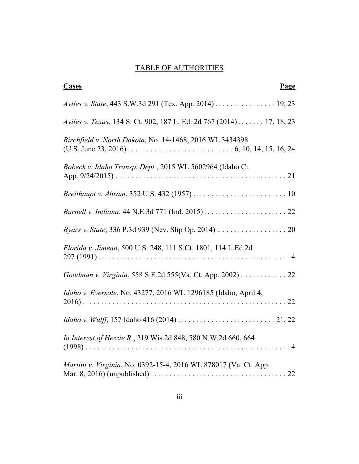## TABLE OF AUTHORITIES

| <b>Cases</b><br>Page                                                  |
|-----------------------------------------------------------------------|
| Aviles v. State, 443 S.W.3d 291 (Tex. App. 2014)  19, 23              |
| Aviles v. Texas, 134 S. Ct. 902, 187 L. Ed. 2d 767 (2014)  17, 18, 23 |
| Birchfield v. North Dakota, No. 14-1468, 2016 WL 3434398              |
| Bobeck v. Idaho Transp. Dept., 2015 WL 5602964 (Idaho Ct.             |
|                                                                       |
|                                                                       |
|                                                                       |
| Florida v. Jimeno, 500 U.S. 248, 111 S.Ct. 1801, 114 L.Ed.2d          |
| Goodman v. Virginia, 558 S.E.2d 555(Va. Ct. App. 2002) 22             |
| Idaho v. Eversole, No. 43277, 2016 WL 1296185 (Idaho, April 4,        |
|                                                                       |
| In Interest of Hezzie R., 219 Wis.2d 848, 580 N.W.2d 660, 664         |
| Martini v. Virginia, No. 0392-15-4, 2016 WL 878017 (Va. Ct. App.      |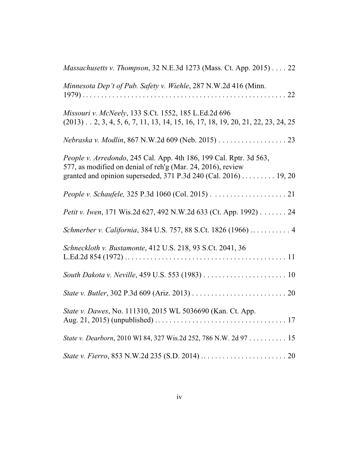| Massachusetts v. Thompson, 32 N.E.3d 1273 (Mass. Ct. App. 2015) 22                                                                                                                                   |
|------------------------------------------------------------------------------------------------------------------------------------------------------------------------------------------------------|
| Minnesota Dep't of Pub. Safety v. Wiehle, 287 N.W.2d 416 (Minn.                                                                                                                                      |
| Missouri v. McNeely, 133 S.Ct. 1552, 185 L.Ed.2d 696<br>$(2013)$ 2, 3, 4, 5, 6, 7, 11, 13, 14, 15, 16, 17, 18, 19, 20, 21, 22, 23, 24, 25                                                            |
| Nebraska v. Modlin, 867 N.W.2d 609 (Neb. 2015) 23                                                                                                                                                    |
| People v. Arredondo, 245 Cal. App. 4th 186, 199 Cal. Rptr. 3d 563,<br>577, as modified on denial of reh'g (Mar. 24, 2016), review<br>granted and opinion superseded, 371 P.3d 240 (Cal. 2016) 19, 20 |
|                                                                                                                                                                                                      |
| Petit v. Iwen, 171 Wis.2d 627, 492 N.W.2d 633 (Ct. App. 1992) 24                                                                                                                                     |
| Schmerber v. California, 384 U.S. 757, 88 S.Ct. 1826 (1966)  4                                                                                                                                       |
| Schneckloth v. Bustamonte, 412 U.S. 218, 93 S.Ct. 2041, 36                                                                                                                                           |
|                                                                                                                                                                                                      |
|                                                                                                                                                                                                      |
| State v. Dawes, No. 111310, 2015 WL 5036690 (Kan. Ct. App.                                                                                                                                           |
| State v. Dearborn, 2010 WI 84, 327 Wis.2d 252, 786 N.W. 2d 97 15                                                                                                                                     |
|                                                                                                                                                                                                      |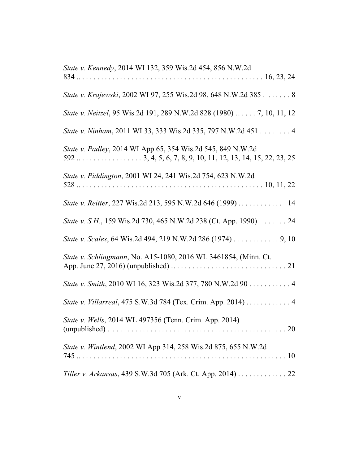| State v. Kennedy, 2014 WI 132, 359 Wis.2d 454, 856 N.W.2d             |
|-----------------------------------------------------------------------|
|                                                                       |
| State v. Krajewski, 2002 WI 97, 255 Wis.2d 98, 648 N.W.2d 385 8       |
| State v. Neitzel, 95 Wis.2d 191, 289 N.W.2d 828 (1980)  7, 10, 11, 12 |
| State v. Ninham, 2011 WI 33, 333 Wis.2d 335, 797 N.W.2d 451 4         |
| State v. Padley, 2014 WI App 65, 354 Wis.2d 545, 849 N.W.2d           |
| State v. Piddington, 2001 WI 24, 241 Wis.2d 754, 623 N.W.2d           |
| State v. Reitter, 227 Wis.2d 213, 595 N.W.2d 646 (1999)  14           |
| State v. S.H., 159 Wis.2d 730, 465 N.W.2d 238 (Ct. App. 1990). 24     |
| State v. Scales, 64 Wis.2d 494, 219 N.W.2d 286 (1974) 9, 10           |
| State v. Schlingmann, No. A15-1080, 2016 WL 3461854, (Minn. Ct.       |
| State v. Smith, 2010 WI 16, 323 Wis.2d 377, 780 N.W.2d 90 4           |
| State v. Villarreal, 475 S.W.3d 784 (Tex. Crim. App. 2014)  4         |
| State v. Wells, 2014 WL 497356 (Tenn. Crim. App. 2014)                |
| State v. Wintlend, 2002 WI App 314, 258 Wis.2d 875, 655 N.W.2d        |
| Tiller v. Arkansas, 439 S.W.3d 705 (Ark. Ct. App. 2014) 22            |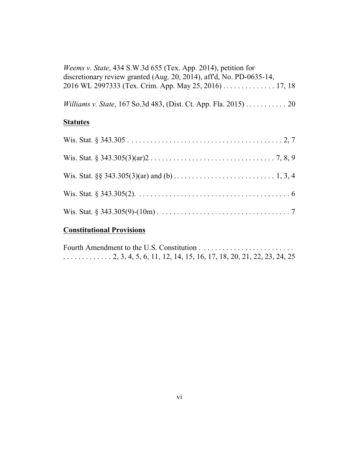| <i>Weems v. State, 434 S.W.3d 655 (Tex. App. 2014), petition for</i>    |
|-------------------------------------------------------------------------|
| discretionary review granted (Aug. 20, 2014), aff'd, No. PD-0635-14,    |
| 2016 WL 2997333 (Tex. Crim. App. May 25, 2016)  17, 18                  |
|                                                                         |
| <i>Williams v. State, 167 So.3d 483, (Dist. Ct. App. Fla. 2015)  20</i> |
|                                                                         |

## **Statutes**

# **Constitutional Provisions**

| $\ldots$ 2, 3, 4, 5, 6, 11, 12, 14, 15, 16, 17, 18, 20, 21, 22, 23, 24, 25 |  |  |  |
|----------------------------------------------------------------------------|--|--|--|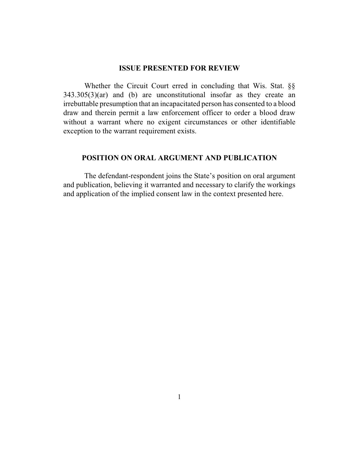#### **ISSUE PRESENTED FOR REVIEW**

Whether the Circuit Court erred in concluding that Wis. Stat. §§  $343.305(3)(ar)$  and (b) are unconstitutional insofar as they create an irrebuttable presumption that an incapacitated person has consented to a blood draw and therein permit a law enforcement officer to order a blood draw without a warrant where no exigent circumstances or other identifiable exception to the warrant requirement exists.

### **POSITION ON ORAL ARGUMENT AND PUBLICATION**

The defendant-respondent joins the State's position on oral argument and publication, believing it warranted and necessary to clarify the workings and application of the implied consent law in the context presented here.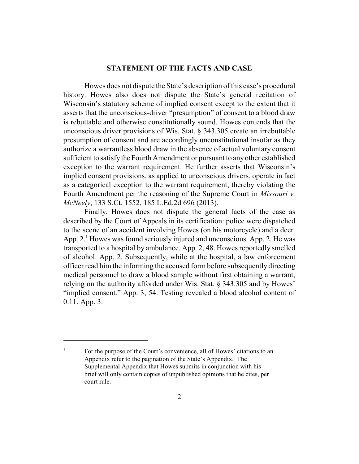#### **STATEMENT OF THE FACTS AND CASE**

Howes does not dispute the State's description of this case's procedural history. Howes also does not dispute the State's general recitation of Wisconsin's statutory scheme of implied consent except to the extent that it asserts that the unconscious-driver "presumption" of consent to a blood draw is rebuttable and otherwise constitutionally sound. Howes contends that the unconscious driver provisions of Wis. Stat. § 343.305 create an irrebuttable presumption of consent and are accordingly unconstitutional insofar as they authorize a warrantless blood draw in the absence of actual voluntary consent sufficient to satisfythe Fourth Amendment or pursuant to anyother established exception to the warrant requirement. He further asserts that Wisconsin's implied consent provisions, as applied to unconscious drivers, operate in fact as a categorical exception to the warrant requirement, thereby violating the Fourth Amendment per the reasoning of the Supreme Court in *Missouri v. McNeely*, 133 S.Ct. 1552, 185 L.Ed.2d 696 (2013).

Finally, Howes does not dispute the general facts of the case as described by the Court of Appeals in its certification: police were dispatched to the scene of an accident involving Howes (on his motorcycle) and a deer. App.  $2<sup>1</sup>$  Howes was found seriously injured and unconscious. App. 2. He was transported to a hospital by ambulance. App. 2, 48. Howes reportedly smelled of alcohol. App. 2. Subsequently, while at the hospital, a law enforcement officer read him the informing the accused form before subsequently directing medical personnel to draw a blood sample without first obtaining a warrant, relying on the authority afforded under Wis. Stat. § 343.305 and by Howes' "implied consent." App. 3, 54. Testing revealed a blood alcohol content of 0.11. App. 3.

<sup>1</sup> For the purpose of the Court's convenience, all of Howes' citations to an Appendix refer to the pagination of the State's Appendix. The Supplemental Appendix that Howes submits in conjunction with his brief will only contain copies of unpublished opinions that he cites, per court rule.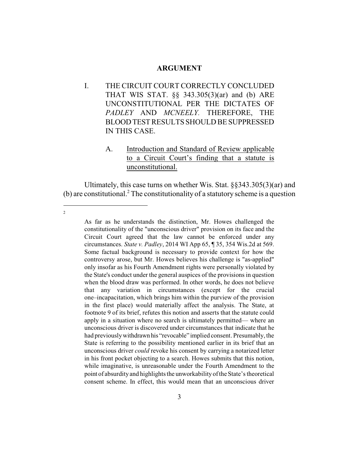#### **ARGUMENT**

- I. THE CIRCUIT COURT CORRECTLY CONCLUDED THAT WIS STAT. §§ 343.305(3)(ar) and (b) ARE UNCONSTITUTIONAL PER THE DICTATES OF *PADLEY* AND *MCNEELY.* THEREFORE, THE BLOODTEST RESULTS SHOULD BE SUPPRESSED IN THIS CASE.
	- A. Introduction and Standard of Review applicable to a Circuit Court's finding that a statute is unconstitutional.

Ultimately, this case turns on whether Wis. Stat. §§343.305(3)(ar) and (b) are constitutional.<sup>2</sup> The constitutionality of a statutory scheme is a question

2

As far as he understands the distinction, Mr. Howes challenged the constitutionality of the "unconscious driver" provision on its face and the Circuit Court agreed that the law cannot be enforced under any circumstances. *State v. Padley*, 2014 WI App 65, ¶ 35, 354 Wis.2d at 569. Some factual background is necessary to provide context for how the controversy arose, but Mr. Howes believes his challenge is "as-applied" only insofar as his Fourth Amendment rights were personally violated by the State's conduct under the general auspices of the provisions in question when the blood draw was performed. In other words, he does not believe that any variation in circumstances (except for the crucial one–incapacitation, which brings him within the purview of the provision in the first place) would materially affect the analysis. The State, at footnote 9 of its brief, refutes this notion and asserts that the statute could apply in a situation where no search is ultimately permitted— where an unconscious driver is discovered under circumstances that indicate that he had previouslywithdrawn his "revocable" implied consent. Presumably, the State is referring to the possibility mentioned earlier in its brief that an unconscious driver *could* revoke his consent by carrying a notarized letter in his front pocket objecting to a search. Howes submits that this notion, while imaginative, is unreasonable under the Fourth Amendment to the point of absurdity and highlights the unworkability of the State's theoretical consent scheme. In effect, this would mean that an unconscious driver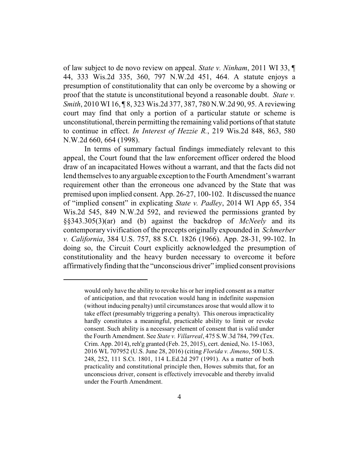of law subject to de novo review on appeal. *State v. Ninham*, 2011 WI 33, ¶ 44, 333 Wis.2d 335, 360, 797 N.W.2d 451, 464. A statute enjoys a presumption of constitutionality that can only be overcome by a showing or proof that the statute is unconstitutional beyond a reasonable doubt. *State v. Smith*, 2010 WI 16, ¶ 8, 323 Wis.2d 377, 387, 780 N.W.2d 90, 95. A reviewing court may find that only a portion of a particular statute or scheme is unconstitutional, therein permitting the remaining valid portions of that statute to continue in effect. *In Interest of Hezzie R.*, 219 Wis.2d 848, 863, 580 N.W.2d 660, 664 (1998).

In terms of summary factual findings immediately relevant to this appeal, the Court found that the law enforcement officer ordered the blood draw of an incapacitated Howes without a warrant, and that the facts did not lend themselves to anyarguable exception to the Fourth Amendment's warrant requirement other than the erroneous one advanced by the State that was premised upon implied consent. App. 26-27, 100-102. It discussed the nuance of "implied consent" in explicating *State v. Padley*, 2014 WI App 65, 354 Wis.2d 545, 849 N.W.2d 592, and reviewed the permissions granted by §§343.305(3)(ar) and (b) against the backdrop of *McNeely* and its contemporary vivification of the precepts originally expounded in *Schmerber v. California*, 384 U.S. 757, 88 S.Ct. 1826 (1966). App. 28-31, 99-102. In doing so, the Circuit Court explicitly acknowledged the presumption of constitutionality and the heavy burden necessary to overcome it before affirmatively finding that the "unconscious driver" implied consent provisions

would only have the ability to revoke his or her implied consent as a matter of anticipation, and that revocation would hang in indefinite suspension (without inducing penalty) until circumstances arose that would allow it to take effect (presumably triggering a penalty). This onerous impracticality hardly constitutes a meaningful, practicable ability to limit or revoke consent. Such ability is a necessary element of consent that is valid under the Fourth Amendment. See *State v. Villarreal*, 475 S.W.3d 784, 799 (Tex. Crim. App. 2014), reh'g granted (Feb. 25, 2015), cert. denied, No. 15-1063, 2016 WL 707952 (U.S. June 28, 2016) (citing *Florida v. Jimeno*, 500 U.S. 248, 252, 111 S.Ct. 1801, 114 L.Ed.2d 297 (1991). As a matter of both practicality and constitutional principle then, Howes submits that, for an unconscious driver, consent is effectively irrevocable and thereby invalid under the Fourth Amendment.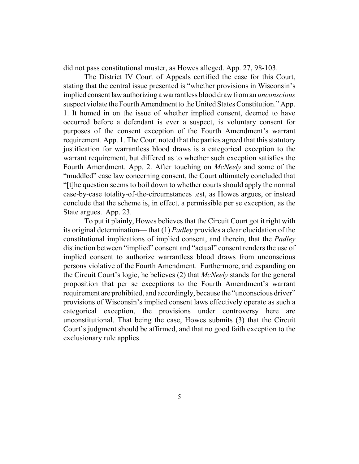did not pass constitutional muster, as Howes alleged. App. 27, 98-103.

The District IV Court of Appeals certified the case for this Court, stating that the central issue presented is "whether provisions in Wisconsin's implied consentlawauthorizing a warrantless blood draw froman *unconscious* suspect violate the Fourth Amendment to the United States Constitution." App. 1. It homed in on the issue of whether implied consent, deemed to have occurred before a defendant is ever a suspect, is voluntary consent for purposes of the consent exception of the Fourth Amendment's warrant requirement. App. 1. The Court noted that the parties agreed that this statutory justification for warrantless blood draws is a categorical exception to the warrant requirement, but differed as to whether such exception satisfies the Fourth Amendment. App. 2. After touching on *McNeely* and some of the "muddled" case law concerning consent, the Court ultimately concluded that "[t]he question seems to boil down to whether courts should apply the normal case-by-case totality-of-the-circumstances test, as Howes argues, or instead conclude that the scheme is, in effect, a permissible per se exception, as the State argues. App. 23.

To put it plainly, Howes believes that the Circuit Court got it right with its original determination— that (1) *Padley* provides a clear elucidation of the constitutional implications of implied consent, and therein, that the *Padley* distinction between "implied" consent and "actual" consent renders the use of implied consent to authorize warrantless blood draws from unconscious persons violative of the Fourth Amendment. Furthermore, and expanding on the Circuit Court's logic, he believes (2) that *McNeely* stands for the general proposition that per se exceptions to the Fourth Amendment's warrant requirement are prohibited, and accordingly, because the "unconscious driver" provisions of Wisconsin's implied consent laws effectively operate as such a categorical exception, the provisions under controversy here are unconstitutional. That being the case, Howes submits (3) that the Circuit Court's judgment should be affirmed, and that no good faith exception to the exclusionary rule applies.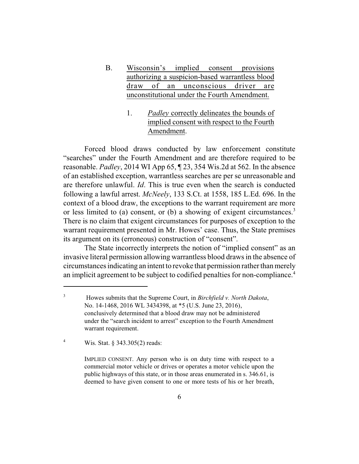- B. Wisconsin's implied consent provisions authorizing a suspicion-based warrantless blood draw of an unconscious driver are unconstitutional under the Fourth Amendment.
	- 1. *Padley* correctly delineates the bounds of implied consent with respect to the Fourth Amendment.

Forced blood draws conducted by law enforcement constitute "searches" under the Fourth Amendment and are therefore required to be reasonable. *Padley*, 2014 WI App 65, ¶ 23, 354 Wis.2d at 562. In the absence of an established exception, warrantless searches are per se unreasonable and are therefore unlawful. *Id*. This is true even when the search is conducted following a lawful arrest. *McNeely*, 133 S.Ct. at 1558, 185 L.Ed. 696. In the context of a blood draw, the exceptions to the warrant requirement are more or less limited to (a) consent, or (b) a showing of exigent circumstances.<sup>3</sup> There is no claim that exigent circumstances for purposes of exception to the warrant requirement presented in Mr. Howes' case. Thus, the State premises its argument on its (erroneous) construction of "consent".

The State incorrectly interprets the notion of "implied consent" as an invasive literal permission allowing warrantless blood draws in the absence of circumstances indicating an intent to revoke that permission rather than merely an implicit agreement to be subject to codified penalties for non-compliance.<sup>4</sup>

<sup>4</sup> Wis. Stat. § 343.305(2) reads:

IMPLIED CONSENT. Any person who is on duty time with respect to a commercial motor vehicle or drives or operates a motor vehicle upon the public highways of this state, or in those areas enumerated in s. 346.61, is deemed to have given consent to one or more tests of his or her breath,

<sup>3</sup> Howes submits that the Supreme Court, in *Birchfield v. North Dakota*, No. 14-1468, 2016 WL 3434398, at \*5 (U.S. June 23, 2016), conclusively determined that a blood draw may not be administered under the "search incident to arrest" exception to the Fourth Amendment warrant requirement.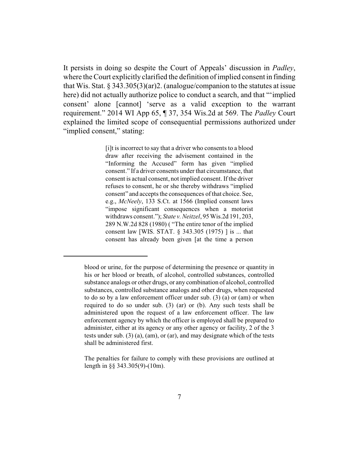It persists in doing so despite the Court of Appeals' discussion in *Padley*, where the Court explicitly clarified the definition of implied consent in finding that Wis. Stat. § 343.305(3)(ar)2. (analogue/companion to the statutes at issue here) did not actually authorize police to conduct a search, and that "'implied consent' alone [cannot] 'serve as a valid exception to the warrant requirement." 2014 WI App 65, ¶ 37, 354 Wis.2d at 569. The *Padley* Court explained the limited scope of consequential permissions authorized under "implied consent," stating:

> [i]t is incorrect to say that a driver who consents to a blood draw after receiving the advisement contained in the "Informing the Accused" form has given "implied consent." If a driver consents under that circumstance, that consent is actual consent, not implied consent. If the driver refuses to consent, he or she thereby withdraws "implied consent" and accepts the consequences of that choice. See, e.g., *McNeely*, 133 S.Ct. at 1566 (Implied consent laws "impose significant consequences when a motorist withdraws consent."); *State v. Neitzel*, 95 Wis.2d 191, 203, 289 N.W.2d 828 (1980) ( "The entire tenor of the implied consent law [WIS. STAT. § 343.305 (1975) ] is ... that consent has already been given [at the time a person

blood or urine, for the purpose of determining the presence or quantity in his or her blood or breath, of alcohol, controlled substances, controlled substance analogs or other drugs, or any combination of alcohol, controlled substances, controlled substance analogs and other drugs, when requested to do so by a law enforcement officer under sub. (3) (a) or (am) or when required to do so under sub. (3) (ar) or (b). Any such tests shall be administered upon the request of a law enforcement officer. The law enforcement agency by which the officer is employed shall be prepared to administer, either at its agency or any other agency or facility, 2 of the 3 tests under sub. (3) (a), (am), or (ar), and may designate which of the tests shall be administered first.

The penalties for failure to comply with these provisions are outlined at length in §§ 343.305(9)-(10m).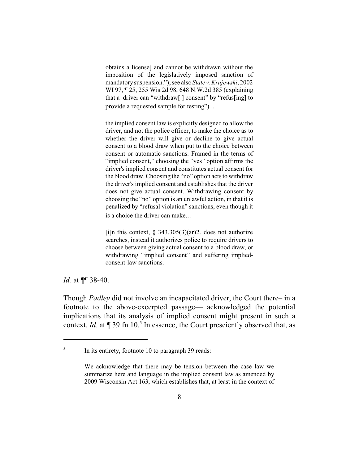obtains a license] and cannot be withdrawn without the imposition of the legislatively imposed sanction of mandatory suspension."); see also *State v. Krajewski*, 2002 WI 97, ¶ 25, 255 Wis.2d 98, 648 N.W.2d 385 (explaining that a driver can "withdraw[ ] consent" by "refus[ing] to provide a requested sample for testing")...

the implied consent law is explicitly designed to allow the driver, and not the police officer, to make the choice as to whether the driver will give or decline to give actual consent to a blood draw when put to the choice between consent or automatic sanctions. Framed in the terms of "implied consent," choosing the "yes" option affirms the driver's implied consent and constitutes actual consent for the blood draw. Choosing the "no" option acts to withdraw the driver's implied consent and establishes that the driver does not give actual consent. Withdrawing consent by choosing the "no" option is an unlawful action, in that it is penalized by "refusal violation" sanctions, even though it is a choice the driver can make...

[i]n this context,  $\S$  343.305(3)(ar)2. does not authorize searches, instead it authorizes police to require drivers to choose between giving actual consent to a blood draw, or withdrawing "implied consent" and suffering impliedconsent-law sanctions.

*Id.* at ¶¶ 38-40.

Though *Padley* did not involve an incapacitated driver, the Court there– in a footnote to the above-excerpted passage— acknowledged the potential implications that its analysis of implied consent might present in such a context. *Id.* at  $\P$  39 fn.10.<sup>5</sup> In essence, the Court presciently observed that, as

<sup>5</sup> In its entirety, footnote 10 to paragraph 39 reads:

We acknowledge that there may be tension between the case law we summarize here and language in the implied consent law as amended by 2009 Wisconsin Act 163, which establishes that, at least in the context of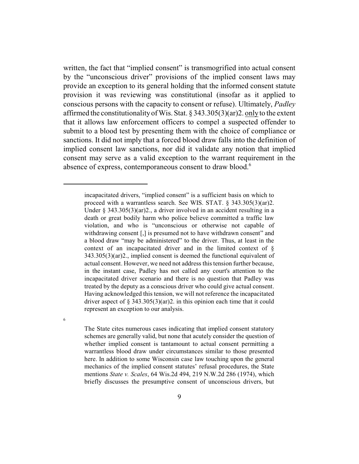written, the fact that "implied consent" is transmogrified into actual consent by the "unconscious driver" provisions of the implied consent laws may provide an exception to its general holding that the informed consent statute provision it was reviewing was constitutional (insofar as it applied to conscious persons with the capacity to consent or refuse). Ultimately, *Padley* affirmed the constitutionalityof Wis. Stat. § 343.305(3)(ar)2. onlyto the extent that it allows law enforcement officers to compel a suspected offender to submit to a blood test by presenting them with the choice of compliance or sanctions. It did not imply that a forced blood draw falls into the definition of implied consent law sanctions, nor did it validate any notion that implied consent may serve as a valid exception to the warrant requirement in the absence of express, contemporaneous consent to draw blood.<sup>6</sup>

The State cites numerous cases indicating that implied consent statutory schemes are generally valid, but none that acutely consider the question of whether implied consent is tantamount to actual consent permitting a warrantless blood draw under circumstances similar to those presented here. In addition to some Wisconsin case law touching upon the general mechanics of the implied consent statutes' refusal procedures, the State mentions *State v. Scales*, 64 Wis.2d 494, 219 N.W.2d 286 (1974), which briefly discusses the presumptive consent of unconscious drivers, but

6

incapacitated drivers, "implied consent" is a sufficient basis on which to proceed with a warrantless search. See WIS. STAT. § 343.305(3)(ar)2. Under § 343.305(3)(ar)2., a driver involved in an accident resulting in a death or great bodily harm who police believe committed a traffic law violation, and who is "unconscious or otherwise not capable of withdrawing consent [,] is presumed not to have withdrawn consent" and a blood draw "may be administered" to the driver. Thus, at least in the context of an incapacitated driver and in the limited context of § 343.305(3)(ar)2., implied consent is deemed the functional equivalent of actual consent. However, we need not address this tension further because, in the instant case, Padley has not called any court's attention to the incapacitated driver scenario and there is no question that Padley was treated by the deputy as a conscious driver who could give actual consent. Having acknowledged this tension, we will not reference the incapacitated driver aspect of  $\S$  343.305(3)(ar)2. in this opinion each time that it could represent an exception to our analysis.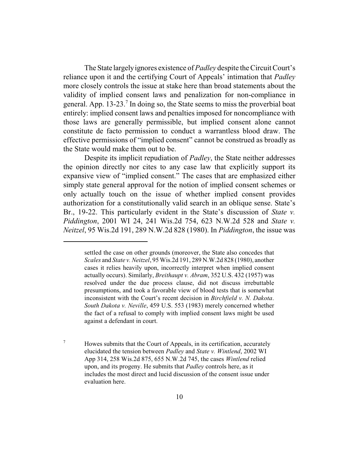The State largelyignores existence of *Padley* despite the Circuit Court's reliance upon it and the certifying Court of Appeals' intimation that *Padley* more closely controls the issue at stake here than broad statements about the validity of implied consent laws and penalization for non-compliance in general. App. 13-23.<sup>7</sup> In doing so, the State seems to miss the proverbial boat entirely: implied consent laws and penalties imposed for noncompliance with those laws are generally permissible, but implied consent alone cannot constitute de facto permission to conduct a warrantless blood draw. The effective permissions of "implied consent" cannot be construed as broadly as the State would make them out to be.

Despite its implicit repudiation of *Padley*, the State neither addresses the opinion directly nor cites to any case law that explicitly support its expansive view of "implied consent." The cases that are emphasized either simply state general approval for the notion of implied consent schemes or only actually touch on the issue of whether implied consent provides authorization for a constitutionally valid search in an oblique sense. State's Br., 19-22. This particularly evident in the State's discussion of *State v. Piddington*, 2001 WI 24, 241 Wis.2d 754, 623 N.W.2d 528 and *State v. Neitzel*, 95 Wis.2d 191, 289 N.W.2d 828 (1980). In *Piddington*, the issue was

<sup>7</sup> Howes submits that the Court of Appeals, in its certification, accurately elucidated the tension between *Padley* and *State v. Wintlend*, 2002 WI App 314, 258 Wis.2d 875, 655 N.W.2d 745, the cases *Wintlend* relied upon, and its progeny. He submits that *Padley* controls here, as it includes the most direct and lucid discussion of the consent issue under evaluation here.

settled the case on other grounds (moreover, the State also concedes that *Scales* and *State v. Neitzel*, 95 Wis.2d 191, 289 N.W.2d 828 (1980), another cases it relies heavily upon, incorrectly interpret when implied consent actually occurs). Similarly, *Breithaupt v. Abram*, 352 U.S. 432 (1957) was resolved under the due process clause, did not discuss irrebuttable presumptions, and took a favorable view of blood tests that is somewhat inconsistent with the Court's recent decision in *Birchfield v. N. Dakota*. *South Dakota v. Neville*, 459 U.S. 553 (1983) merely concerned whether the fact of a refusal to comply with implied consent laws might be used against a defendant in court.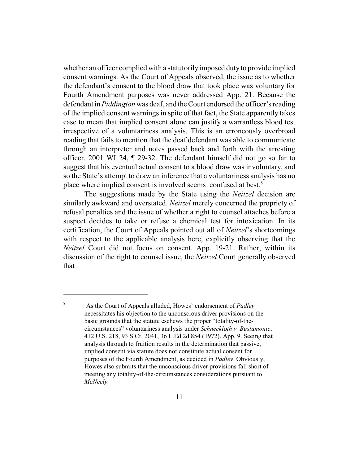whether an officer complied with a statutorily imposed duty to provide implied consent warnings. As the Court of Appeals observed, the issue as to whether the defendant's consent to the blood draw that took place was voluntary for Fourth Amendment purposes was never addressed App. 21. Because the defendant in *Piddington* was deaf, and the Court endorsed the officer's reading of the implied consent warnings in spite of that fact, the State apparently takes case to mean that implied consent alone can justify a warrantless blood test irrespective of a voluntariness analysis. This is an erroneously overbroad reading that fails to mention that the deaf defendant was able to communicate through an interpreter and notes passed back and forth with the arresting officer. 2001 WI 24, ¶ 29-32. The defendant himself did not go so far to suggest that his eventual actual consent to a blood draw was involuntary, and so the State's attempt to draw an inference that a voluntariness analysis has no place where implied consent is involved seems confused at best.<sup>8</sup>

The suggestions made by the State using the *Neitzel* decision are similarly awkward and overstated. *Neitzel* merely concerned the propriety of refusal penalties and the issue of whether a right to counsel attaches before a suspect decides to take or refuse a chemical test for intoxication. In its certification, the Court of Appeals pointed out all of *Neitzel*'s shortcomings with respect to the applicable analysis here, explicitly observing that the *Neitzel* Court did not focus on consent. App. 19-21. Rather, within its discussion of the right to counsel issue, the *Neitzel* Court generally observed that

<sup>8</sup> As the Court of Appeals alluded, Howes' endorsement of *Padley* necessitates his objection to the unconscious driver provisions on the basic grounds that the statute eschews the proper "totality-of-thecircumstances" voluntariness analysis under *Schneckloth v. Bustamonte*, 412 U.S. 218, 93 S.Ct. 2041, 36 L.Ed.2d 854 (1972). App. 9. Seeing that analysis through to fruition results in the determination that passive, implied consent via statute does not constitute actual consent for purposes of the Fourth Amendment, as decided in *Padley*. Obviously, Howes also submits that the unconscious driver provisions fall short of meeting any totality-of-the-circumstances considerations pursuant to *McNeely.*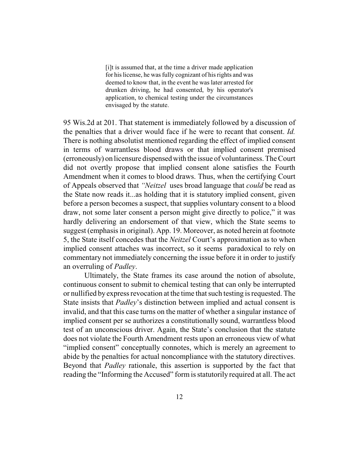[i]t is assumed that, at the time a driver made application for his license, he was fully cognizant of his rights and was deemed to know that, in the event he was later arrested for drunken driving, he had consented, by his operator's application, to chemical testing under the circumstances envisaged by the statute.

95 Wis.2d at 201. That statement is immediately followed by a discussion of the penalties that a driver would face if he were to recant that consent. *Id.* There is nothing absolutist mentioned regarding the effect of implied consent in terms of warrantless blood draws or that implied consent premised (erroneously) on licensure dispensedwith the issue of voluntariness. The Court did not overtly propose that implied consent alone satisfies the Fourth Amendment when it comes to blood draws. Thus, when the certifying Court of Appeals observed that *"Neitzel* uses broad language that *could* be read as the State now reads it...as holding that it is statutory implied consent, given before a person becomes a suspect, that supplies voluntary consent to a blood draw, not some later consent a person might give directly to police," it was hardly delivering an endorsement of that view, which the State seems to suggest (emphasis in original). App. 19. Moreover, as noted herein at footnote 5, the State itself concedes that the *Neitzel* Court's approximation as to when implied consent attaches was incorrect, so it seems paradoxical to rely on commentary not immediately concerning the issue before it in order to justify an overruling of *Padley*.

Ultimately, the State frames its case around the notion of absolute, continuous consent to submit to chemical testing that can only be interrupted or nullified by express revocation at the time that such testing is requested. The State insists that *Padley*'s distinction between implied and actual consent is invalid, and that this case turns on the matter of whether a singular instance of implied consent per se authorizes a constitutionally sound, warrantless blood test of an unconscious driver. Again, the State's conclusion that the statute does not violate the Fourth Amendment rests upon an erroneous view of what "implied consent" conceptually connotes, which is merely an agreement to abide by the penalties for actual noncompliance with the statutory directives. Beyond that *Padley* rationale, this assertion is supported by the fact that reading the "Informing the Accused" form is statutorily required at all. The act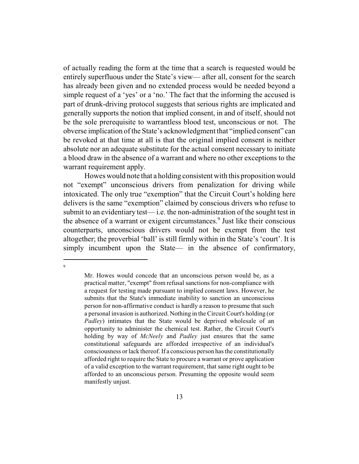of actually reading the form at the time that a search is requested would be entirely superfluous under the State's view— after all, consent for the search has already been given and no extended process would be needed beyond a simple request of a 'yes' or a 'no.' The fact that the informing the accused is part of drunk-driving protocol suggests that serious rights are implicated and generally supports the notion that implied consent, in and of itself, should not be the sole prerequisite to warrantless blood test, unconscious or not. The obverse implication ofthe State's acknowledgment that "implied consent" can be revoked at that time at all is that the original implied consent is neither absolute nor an adequate substitute for the actual consent necessary to initiate a blood draw in the absence of a warrant and where no other exceptions to the warrant requirement apply.

Howes would note that a holding consistent with this proposition would not "exempt" unconscious drivers from penalization for driving while intoxicated. The only true "exemption" that the Circuit Court's holding here delivers is the same "exemption" claimed by conscious drivers who refuse to submit to an evidentiary test— i.e. the non-administration of the sought test in the absence of a warrant or exigent circumstances.<sup>9</sup> Just like their conscious counterparts, unconscious drivers would not be exempt from the test altogether; the proverbial 'ball' is still firmly within in the State's 'court'. It is simply incumbent upon the State— in the absence of confirmatory,

 $\overline{Q}$ 

Mr. Howes would concede that an unconscious person would be, as a practical matter, "exempt" from refusal sanctions for non-compliance with a request for testing made pursuant to implied consent laws. However, he submits that the State's immediate inability to sanction an unconscious person for non-affirmative conduct is hardly a reason to presume that such a personal invasion is authorized. Nothing in the Circuit Court's holding (or *Padley*) intimates that the State would be deprived wholesale of an opportunity to administer the chemical test. Rather, the Circuit Court's holding by way of *McNeely* and *Padley* just ensures that the same constitutional safeguards are afforded irrespective of an individual's consciousness orlack thereof. If a conscious person has the constitutionally afforded right to require the State to procure a warrant or prove application of a valid exception to the warrant requirement, that same right ought to be afforded to an unconscious person. Presuming the opposite would seem manifestly unjust.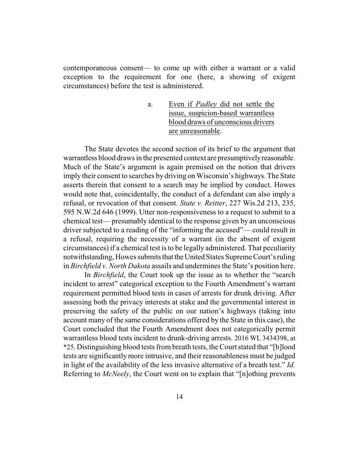contemporaneous consent— to come up with either a warrant or a valid exception to the requirement for one (here, a showing of exigent circumstances) before the test is administered.

> a. Even if *Padley* did not settle the issue, suspicion-based warrantless blood draws of unconscious drivers are unreasonable.

The State devotes the second section of its brief to the argument that warrantless blood draws in the presented context are presumptively reasonable. Much of the State's argument is again premised on the notion that drivers imply their consent to searches by driving on Wisconsin's highways. The State asserts therein that consent to a search may be implied by conduct. Howes would note that, coincidentally, the conduct of a defendant can also imply a refusal, or revocation of that consent. *State v. Reitter*, 227 Wis.2d 213, 235, 595 N.W.2d 646 (1999). Utter non-responsiveness to a request to submit to a chemical test— presumably identical to the response given by an unconscious driver subjected to a reading of the "informing the accused"— could result in a refusal, requiring the necessity of a warrant (in the absent of exigent circumstances) if a chemical test is to be legally administered. That peculiarity notwithstanding, Howes submits that the United States Supreme Court's ruling in *Birchfield v. North Dakota* assails and undermines the State's position here.

In *Birchfield*, the Court took up the issue as to whether the "search incident to arrest" categorical exception to the Fourth Amendment's warrant requirement permitted blood tests in cases of arrests for drunk driving. After assessing both the privacy interests at stake and the governmental interest in preserving the safety of the public on our nation's highways (taking into account many of the same considerations offered by the State in this case), the Court concluded that the Fourth Amendment does not categorically permit warrantless blood tests incident to drunk-driving arrests. 2016 WL 3434398, at \*25. Distinguishing blood tests frombreath tests, the Court stated that "[b]lood tests are significantly more intrusive, and their reasonableness must be judged in light of the availability of the less invasive alternative of a breath test." *Id.* Referring to *McNeely*, the Court went on to explain that "[n]othing prevents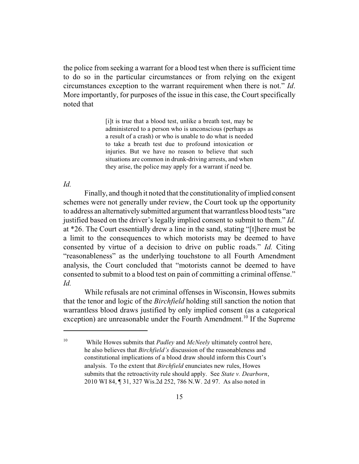the police from seeking a warrant for a blood test when there is sufficient time to do so in the particular circumstances or from relying on the exigent circumstances exception to the warrant requirement when there is not." *Id*. More importantly, for purposes of the issue in this case, the Court specifically noted that

> [i]t is true that a blood test, unlike a breath test, may be administered to a person who is unconscious (perhaps as a result of a crash) or who is unable to do what is needed to take a breath test due to profound intoxication or injuries. But we have no reason to believe that such situations are common in drunk-driving arrests, and when they arise, the police may apply for a warrant if need be.

#### *Id.*

Finally, and though it noted that the constitutionality of implied consent schemes were not generally under review, the Court took up the opportunity to address an alternativelysubmitted argument that warrantless blood tests "are justified based on the driver's legally implied consent to submit to them." *Id.* at \*26. The Court essentially drew a line in the sand, stating "[t]here must be a limit to the consequences to which motorists may be deemed to have consented by virtue of a decision to drive on public roads." *Id.* Citing "reasonableness" as the underlying touchstone to all Fourth Amendment analysis, the Court concluded that "motorists cannot be deemed to have consented to submit to a blood test on pain of committing a criminal offense." *Id.*

While refusals are not criminal offenses in Wisconsin, Howes submits that the tenor and logic of the *Birchfield* holding still sanction the notion that warrantless blood draws justified by only implied consent (as a categorical exception) are unreasonable under the Fourth Amendment.<sup>10</sup> If the Supreme

<sup>10</sup> While Howes submits that *Padley* and *McNeely* ultimately control here, he also believes that *Birchfield's* discussion of the reasonableness and constitutional implications of a blood draw should inform this Court's analysis. To the extent that *Birchfield* enunciates new rules, Howes submits that the retroactivity rule should apply. See *State v. Dearborn*, 2010 WI 84, ¶ 31, 327 Wis.2d 252, 786 N.W. 2d 97. As also noted in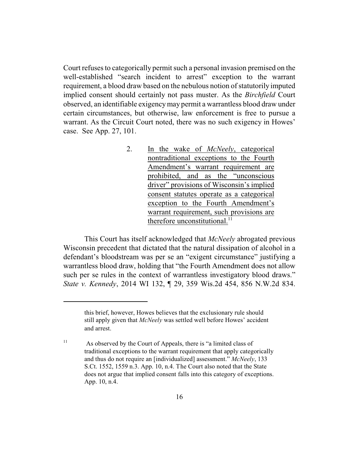Court refuses to categorically permit such a personal invasion premised on the well-established "search incident to arrest" exception to the warrant requirement, a blood draw based on the nebulous notion of statutorily imputed implied consent should certainly not pass muster. As the *Birchfield* Court observed, an identifiable exigencymay permit a warrantless blood draw under certain circumstances, but otherwise, law enforcement is free to pursue a warrant. As the Circuit Court noted, there was no such exigency in Howes' case. See App. 27, 101.

> 2. In the wake of *McNeely*, categorical nontraditional exceptions to the Fourth Amendment's warrant requirement are prohibited, and as the "unconscious driver" provisions of Wisconsin's implied consent statutes operate as a categorical exception to the Fourth Amendment's warrant requirement, such provisions are therefore unconstitutional. $^{11}$

This Court has itself acknowledged that *McNeely* abrogated previous Wisconsin precedent that dictated that the natural dissipation of alcohol in a defendant's bloodstream was per se an "exigent circumstance" justifying a warrantless blood draw, holding that "the Fourth Amendment does not allow such per se rules in the context of warrantless investigatory blood draws." *State v. Kennedy*, 2014 WI 132, ¶ 29, 359 Wis.2d 454, 856 N.W.2d 834.

16

this brief, however, Howes believes that the exclusionary rule should still apply given that *McNeely* was settled well before Howes' accident and arrest.

<sup>&</sup>lt;sup>11</sup> As observed by the Court of Appeals, there is "a limited class of traditional exceptions to the warrant requirement that apply categorically and thus do not require an [individualized] assessment." *McNeely*, 133 S.Ct. 1552, 1559 n.3. App. 10, n.4. The Court also noted that the State does not argue that implied consent falls into this category of exceptions. App. 10, n.4.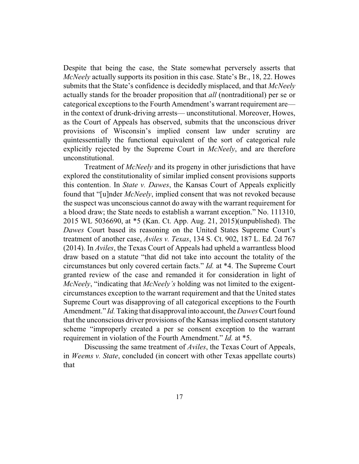Despite that being the case, the State somewhat perversely asserts that *McNeely* actually supports its position in this case. State's Br., 18, 22. Howes submits that the State's confidence is decidedly misplaced, and that *McNeely* actually stands for the broader proposition that *all* (nontraditional) per se or categorical exceptions to the Fourth Amendment's warrant requirement are in the context of drunk-driving arrests— unconstitutional. Moreover, Howes, as the Court of Appeals has observed, submits that the unconscious driver provisions of Wisconsin's implied consent law under scrutiny are quintessentially the functional equivalent of the sort of categorical rule explicitly rejected by the Supreme Court in *McNeely*, and are therefore unconstitutional.

Treatment of *McNeely* and its progeny in other jurisdictions that have explored the constitutionality of similar implied consent provisions supports this contention. In *State v. Dawes*, the Kansas Court of Appeals explicitly found that "[u]nder *McNeely*, implied consent that was not revoked because the suspect was unconscious cannot do away with the warrant requirement for a blood draw; the State needs to establish a warrant exception." No. 111310, 2015 WL 5036690, at \*5 (Kan. Ct. App. Aug. 21, 2015)(unpublished). The *Dawes* Court based its reasoning on the United States Supreme Court's treatment of another case, *Aviles v. Texas*, 134 S. Ct. 902, 187 L. Ed. 2d 767 (2014). In *Aviles*, the Texas Court of Appeals had upheld a warrantless blood draw based on a statute "that did not take into account the totality of the circumstances but only covered certain facts." *Id.* at \*4. The Supreme Court granted review of the case and remanded it for consideration in light of *McNeely*, "indicating that *McNeely's* holding was not limited to the exigentcircumstances exception to the warrant requirement and that the United states Supreme Court was disapproving of all categorical exceptions to the Fourth Amendment." *Id.* Taking that disapproval into account, the *Dawes* Court found that the unconscious driver provisions of the Kansas implied consent statutory scheme "improperly created a per se consent exception to the warrant requirement in violation of the Fourth Amendment." *Id.* at \*5.

Discussing the same treatment of *Aviles*, the Texas Court of Appeals, in *Weems v. State*, concluded (in concert with other Texas appellate courts) that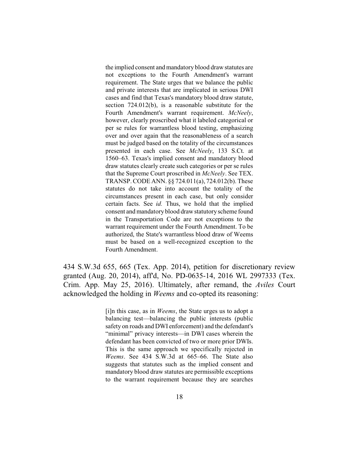the implied consent and mandatory blood draw statutes are not exceptions to the Fourth Amendment's warrant requirement. The State urges that we balance the public and private interests that are implicated in serious DWI cases and find that Texas's mandatory blood draw statute, section 724.012(b), is a reasonable substitute for the Fourth Amendment's warrant requirement. *McNeely*, however, clearly proscribed what it labeled categorical or per se rules for warrantless blood testing, emphasizing over and over again that the reasonableness of a search must be judged based on the totality of the circumstances presented in each case. See *McNeely*, 133 S.Ct. at 1560–63. Texas's implied consent and mandatory blood draw statutes clearly create such categories or per se rules that the Supreme Court proscribed in *McNeely*. See TEX. TRANSP. CODE ANN. §§ 724.011(a), 724.012(b). These statutes do not take into account the totality of the circumstances present in each case, but only consider certain facts. See *id.* Thus, we hold that the implied consent and mandatory blood drawstatutory scheme found in the Transportation Code are not exceptions to the warrant requirement under the Fourth Amendment. To be authorized, the State's warrantless blood draw of Weems must be based on a well-recognized exception to the Fourth Amendment.

434 S.W.3d 655, 665 (Tex. App. 2014), petition for discretionary review granted (Aug. 20, 2014), aff'd, No. PD-0635-14, 2016 WL 2997333 (Tex. Crim. App. May 25, 2016). Ultimately, after remand, the *Aviles* Court acknowledged the holding in *Weems* and co-opted its reasoning:

> [i]n this case, as in *Weems*, the State urges us to adopt a balancing test—balancing the public interests (public safety on roads and DWI enforcement) and the defendant's "minimal" privacy interests—in DWI cases wherein the defendant has been convicted of two or more prior DWIs. This is the same approach we specifically rejected in *Weems*. See 434 S.W.3d at 665–66. The State also suggests that statutes such as the implied consent and mandatory blood draw statutes are permissible exceptions to the warrant requirement because they are searches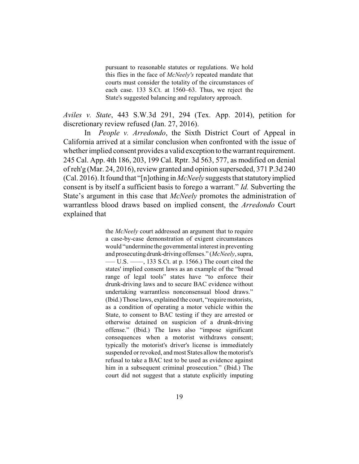pursuant to reasonable statutes or regulations. We hold this flies in the face of *McNeely's* repeated mandate that courts must consider the totality of the circumstances of each case. 133 S.Ct. at 1560–63. Thus, we reject the State's suggested balancing and regulatory approach.

*Aviles v. State*, 443 S.W.3d 291, 294 (Tex. App. 2014), petition for discretionary review refused (Jan. 27, 2016).

In *People v. Arredondo*, the Sixth District Court of Appeal in California arrived at a similar conclusion when confronted with the issue of whether implied consent provides a valid exception to the warrant requirement. 245 Cal. App. 4th 186, 203, 199 Cal. Rptr. 3d 563, 577, as modified on denial of reh'g (Mar. 24, 2016), review granted and opinion superseded, 371 P.3d 240 (Cal. 2016). It found that "[n]othing in *McNeely* suggests that statutoryimplied consent is by itself a sufficient basis to forego a warrant." *Id.* Subverting the State's argument in this case that *McNeely* promotes the administration of warrantless blood draws based on implied consent, the *Arredondo* Court explained that

> the *McNeely* court addressed an argument that to require a case-by-case demonstration of exigent circumstances would "undermine the governmental interest in preventing and prosecutingdrunk-driving offenses." (*McNeely*, supra, ––– U.S. ––––, 133 S.Ct. at p. 1566.) The court cited the states' implied consent laws as an example of the "broad range of legal tools" states have "to enforce their drunk-driving laws and to secure BAC evidence without undertaking warrantless nonconsensual blood draws." (Ibid.) Those laws, explained the court, "require motorists, as a condition of operating a motor vehicle within the State, to consent to BAC testing if they are arrested or otherwise detained on suspicion of a drunk-driving offense." (Ibid.) The laws also "impose significant consequences when a motorist withdraws consent; typically the motorist's driver's license is immediately suspended or revoked, and most States allow the motorist's refusal to take a BAC test to be used as evidence against him in a subsequent criminal prosecution." (Ibid.) The court did not suggest that a statute explicitly imputing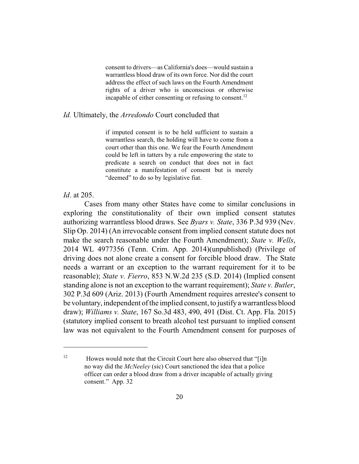consent to drivers—as California's does—would sustain a warrantless blood draw of its own force. Nor did the court address the effect of such laws on the Fourth Amendment rights of a driver who is unconscious or otherwise incapable of either consenting or refusing to consent.<sup>12</sup>

#### *Id.* Ultimately, the *Arredondo* Court concluded that

if imputed consent is to be held sufficient to sustain a warrantless search, the holding will have to come from a court other than this one. We fear the Fourth Amendment could be left in tatters by a rule empowering the state to predicate a search on conduct that does not in fact constitute a manifestation of consent but is merely "deemed" to do so by legislative fiat.

#### *Id*. at 205.

Cases from many other States have come to similar conclusions in exploring the constitutionality of their own implied consent statutes authorizing warrantless blood draws. See *Byars v. State*, 336 P.3d 939 (Nev. Slip Op. 2014) (An irrevocable consent from implied consent statute does not make the search reasonable under the Fourth Amendment); *State v. Wells*, 2014 WL 4977356 (Tenn. Crim. App. 2014)(unpublished) (Privilege of driving does not alone create a consent for forcible blood draw. The State needs a warrant or an exception to the warrant requirement for it to be reasonable); *State v. Fierro*, 853 N.W.2d 235 (S.D. 2014) (Implied consent standing alone is not an exception to the warrant requirement); *State v. Butler*, 302 P.3d 609 (Ariz. 2013) (Fourth Amendment requires arrestee's consent to be voluntary, independent ofthe implied consent, to justify a warrantless blood draw); *Williams v. State*, 167 So.3d 483, 490, 491 (Dist. Ct. App. Fla. 2015) (statutory implied consent to breath alcohol test pursuant to implied consent law was not equivalent to the Fourth Amendment consent for purposes of

<sup>&</sup>lt;sup>12</sup> Howes would note that the Circuit Court here also observed that "[i]n no way did the *McNeeley* (sic) Court sanctioned the idea that a police officer can order a blood draw from a driver incapable of actually giving consent." App. 32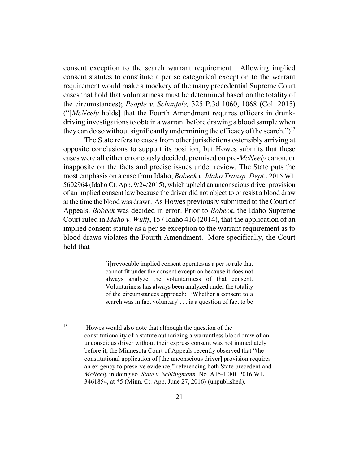consent exception to the search warrant requirement. Allowing implied consent statutes to constitute a per se categorical exception to the warrant requirement would make a mockery of the many precedential Supreme Court cases that hold that voluntariness must be determined based on the totality of the circumstances); *People v. Schaufele,* 325 P.3d 1060, 1068 (Col. 2015) ("[*McNeely* holds] that the Fourth Amendment requires officers in drunkdriving investigations to obtain a warrant before drawing a blood sample when they can do so without significantly undermining the efficacy of the search.")<sup>13</sup>

The State refers to cases from other jurisdictions ostensibly arriving at opposite conclusions to support its position, but Howes submits that these cases were all either erroneously decided, premised on pre-*McNeely* canon, or inapposite on the facts and precise issues under review. The State puts the most emphasis on a case from Idaho, *Bobeck v. Idaho Transp. Dept.*, 2015 WL 5602964 (Idaho Ct. App. 9/24/2015), which upheld an unconscious driver provision of an implied consent law because the driver did not object to or resist a blood draw at the time the blood was drawn. As Howes previously submitted to the Court of Appeals, *Bobeck* was decided in error. Prior to *Bobeck*, the Idaho Supreme Court ruled in *Idaho v. Wulff*, 157 Idaho 416 (2014), that the application of an implied consent statute as a per se exception to the warrant requirement as to blood draws violates the Fourth Amendment. More specifically, the Court held that

> [i]rrevocable implied consent operates as a per se rule that cannot fit under the consent exception because it does not always analyze the voluntariness of that consent. Voluntariness has always been analyzed under the totality of the circumstances approach: 'Whether a consent to a search was in fact voluntary' . . . is a question of fact to be

<sup>13</sup> Howes would also note that although the question of the constitutionality of a statute authorizing a warrantless blood draw of an unconscious driver without their express consent was not immediately before it, the Minnesota Court of Appeals recently observed that "the constitutional application of [the unconscious driver] provision requires an exigency to preserve evidence," referencing both State precedent and *McNeely* in doing so. *State v. Schlingmann*, No. A15-1080, 2016 WL 3461854, at \*5 (Minn. Ct. App. June 27, 2016) (unpublished).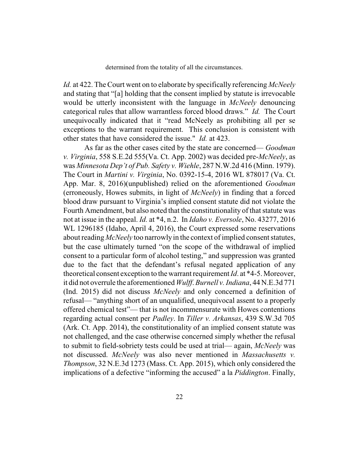determined from the totality of all the circumstances.

*Id.* at 422. The Court went on to elaborate by specifically referencing *McNeely* and stating that "[a] holding that the consent implied by statute is irrevocable would be utterly inconsistent with the language in *McNeely* denouncing categorical rules that allow warrantless forced blood draws." *Id.* The Court unequivocally indicated that it "read McNeely as prohibiting all per se exceptions to the warrant requirement. This conclusion is consistent with other states that have considered the issue." *Id.* at 423.

As far as the other cases cited by the state are concerned— *Goodman v. Virginia*, 558 S.E.2d 555(Va. Ct. App. 2002) was decided pre-*McNeely*, as was *Minnesota Dep't of Pub. Safety v. Wiehle*, 287 N.W.2d 416 (Minn. 1979). The Court in *Martini v. Virginia*, No. 0392-15-4, 2016 WL 878017 (Va. Ct. App. Mar. 8, 2016)(unpublished) relied on the aforementioned *Goodman* (erroneously, Howes submits, in light of *McNeely*) in finding that a forced blood draw pursuant to Virginia's implied consent statute did not violate the Fourth Amendment, but also noted that the constitutionality of that statute was not at issue in the appeal. *Id.* at \*4, n.2. In *Idaho v. Eversole*, No. 43277, 2016 WL 1296185 (Idaho, April 4, 2016), the Court expressed some reservations about reading *McNeely* too narrowly in the context of implied consent statutes, but the case ultimately turned "on the scope of the withdrawal of implied consent to a particular form of alcohol testing," and suppression was granted due to the fact that the defendant's refusal negated application of any theoretical consent exception to the warrant requirement *Id*. at \*4-5. Moreover, it did not overrule the aforementioned *Wulff*. *Burnell v. Indiana*, 44 N.E.3d 771 (Ind. 2015) did not discuss *McNeely* and only concerned a definition of refusal— "anything short of an unqualified, unequivocal assent to a properly offered chemical test"— that is not incommensurate with Howes contentions regarding actual consent per *Padley*. In *Tiller v. Arkansas*, 439 S.W.3d 705 (Ark. Ct. App. 2014), the constitutionality of an implied consent statute was not challenged, and the case otherwise concerned simply whether the refusal to submit to field-sobriety tests could be used at trial— again, *McNeely* was not discussed. *McNeely* was also never mentioned in *Massachusetts v. Thompson*, 32 N.E.3d 1273 (Mass. Ct. App. 2015), which only considered the implications of a defective "informing the accused" a la *Piddington*. Finally,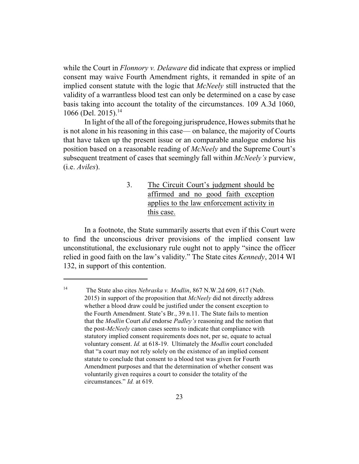while the Court in *Flonnory v. Delaware* did indicate that express or implied consent may waive Fourth Amendment rights, it remanded in spite of an implied consent statute with the logic that *McNeely* still instructed that the validity of a warrantless blood test can only be determined on a case by case basis taking into account the totality of the circumstances. 109 A.3d 1060, 1066 (Del. 2015).<sup>14</sup>

In light of the all of the foregoing jurisprudence, Howes submits that he is not alone in his reasoning in this case— on balance, the majority of Courts that have taken up the present issue or an comparable analogue endorse his position based on a reasonable reading of *McNeely* and the Supreme Court's subsequent treatment of cases that seemingly fall within *McNeely's* purview, (i.e. *Aviles*).

## 3. The Circuit Court's judgment should be affirmed and no good faith exception applies to the law enforcement activity in this case.

In a footnote, the State summarily asserts that even if this Court were to find the unconscious driver provisions of the implied consent law unconstitutional, the exclusionary rule ought not to apply "since the officer relied in good faith on the law's validity." The State cites *Kennedy*, 2014 WI 132, in support of this contention.

<sup>14</sup> The State also cites *Nebraska v. Modlin*, 867 N.W.2d 609, 617 (Neb. 2015) in support of the proposition that *McNeely* did not directly address whether a blood draw could be justified under the consent exception to the Fourth Amendment. State's Br., 39 n.11. The State fails to mention that the *Modlin* Court *did* endorse *Padley's* reasoning and the notion that the post-*McNeely* canon cases seems to indicate that compliance with statutory implied consent requirements does not, per se, equate to actual voluntary consent. *Id.* at 618-19. Ultimately the *Modlin* court concluded that "a court may not rely solely on the existence of an implied consent statute to conclude that consent to a blood test was given for Fourth Amendment purposes and that the determination of whether consent was voluntarily given requires a court to consider the totality of the circumstances." *Id.* at 619.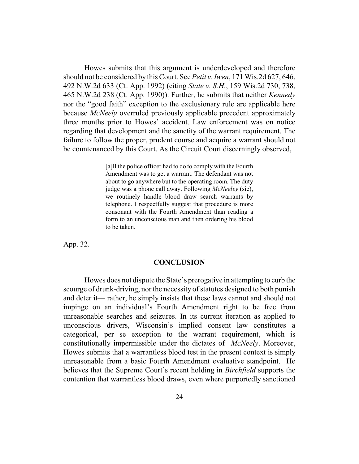Howes submits that this argument is underdeveloped and therefore should not be considered by this Court. See *Petit v. Iwen*, 171 Wis.2d 627, 646, 492 N.W.2d 633 (Ct. App. 1992) (citing *State v. S.H.*, 159 Wis.2d 730, 738, 465 N.W.2d 238 (Ct. App. 1990)). Further, he submits that neither *Kennedy* nor the "good faith" exception to the exclusionary rule are applicable here because *McNeely* overruled previously applicable precedent approximately three months prior to Howes' accident. Law enforcement was on notice regarding that development and the sanctity of the warrant requirement. The failure to follow the proper, prudent course and acquire a warrant should not be countenanced by this Court. As the Circuit Court discerningly observed,

> [a]ll the police officer had to do to comply with the Fourth Amendment was to get a warrant. The defendant was not about to go anywhere but to the operating room. The duty judge was a phone call away. Following *McNeeley* (sic), we routinely handle blood draw search warrants by telephone. I respectfully suggest that procedure is more consonant with the Fourth Amendment than reading a form to an unconscious man and then ordering his blood to be taken.

App. 32.

#### **CONCLUSION**

Howes does not dispute the State's prerogative in attempting to curb the scourge of drunk-driving, nor the necessity of statutes designed to both punish and deter it— rather, he simply insists that these laws cannot and should not impinge on an individual's Fourth Amendment right to be free from unreasonable searches and seizures. In its current iteration as applied to unconscious drivers, Wisconsin's implied consent law constitutes a categorical, per se exception to the warrant requirement, which is constitutionally impermissible under the dictates of *McNeely*. Moreover, Howes submits that a warrantless blood test in the present context is simply unreasonable from a basic Fourth Amendment evaluative standpoint. He believes that the Supreme Court's recent holding in *Birchfield* supports the contention that warrantless blood draws, even where purportedly sanctioned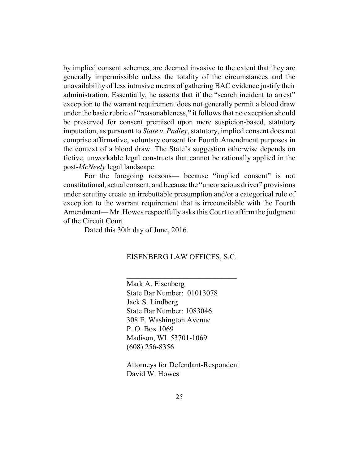by implied consent schemes, are deemed invasive to the extent that they are generally impermissible unless the totality of the circumstances and the unavailability of less intrusive means of gathering BAC evidence justify their administration. Essentially, he asserts that if the "search incident to arrest" exception to the warrant requirement does not generally permit a blood draw under the basic rubric of "reasonableness," it follows that no exception should be preserved for consent premised upon mere suspicion-based, statutory imputation, as pursuant to *State v. Padley*, statutory, implied consent does not comprise affirmative, voluntary consent for Fourth Amendment purposes in the context of a blood draw. The State's suggestion otherwise depends on fictive, unworkable legal constructs that cannot be rationally applied in the post-*McNeely* legal landscape.

For the foregoing reasons— because "implied consent" is not constitutional, actual consent, and because the "unconscious driver" provisions under scrutiny create an irrebuttable presumption and/or a categorical rule of exception to the warrant requirement that is irreconcilable with the Fourth Amendment— Mr. Howes respectfully asks this Court to affirm the judgment of the Circuit Court.

Dated this 30th day of June, 2016.

#### EISENBERG LAW OFFICES, S.C.

 $\mathcal{L}_\text{max}$  and  $\mathcal{L}_\text{max}$  and  $\mathcal{L}_\text{max}$ 

Mark A. Eisenberg State Bar Number: 01013078 Jack S. Lindberg State Bar Number: 1083046 308 E. Washington Avenue P. O. Box 1069 Madison, WI 53701-1069 (608) 256-8356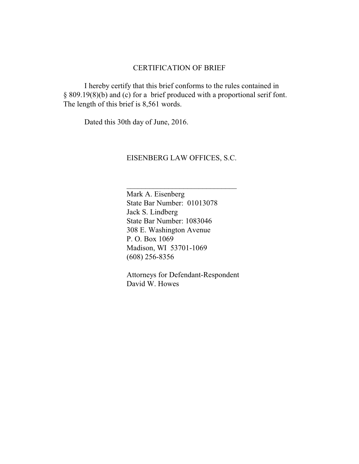### CERTIFICATION OF BRIEF

I hereby certify that this brief conforms to the rules contained in § 809.19(8)(b) and (c) for a brief produced with a proportional serif font. The length of this brief is 8,561 words.

Dated this 30th day of June, 2016.

#### EISENBERG LAW OFFICES, S.C.

 $\overline{\phantom{a}}$  , where  $\overline{\phantom{a}}$  , where  $\overline{\phantom{a}}$  , where  $\overline{\phantom{a}}$  ,  $\overline{\phantom{a}}$  ,  $\overline{\phantom{a}}$  ,  $\overline{\phantom{a}}$  ,  $\overline{\phantom{a}}$  ,  $\overline{\phantom{a}}$  ,  $\overline{\phantom{a}}$  ,  $\overline{\phantom{a}}$  ,  $\overline{\phantom{a}}$  ,  $\overline{\phantom{a}}$  ,  $\overline{\phantom{a}}$  ,  $\overline{\phantom$ 

Mark A. Eisenberg State Bar Number: 01013078 Jack S. Lindberg State Bar Number: 1083046 308 E. Washington Avenue P. O. Box 1069 Madison, WI 53701-1069 (608) 256-8356